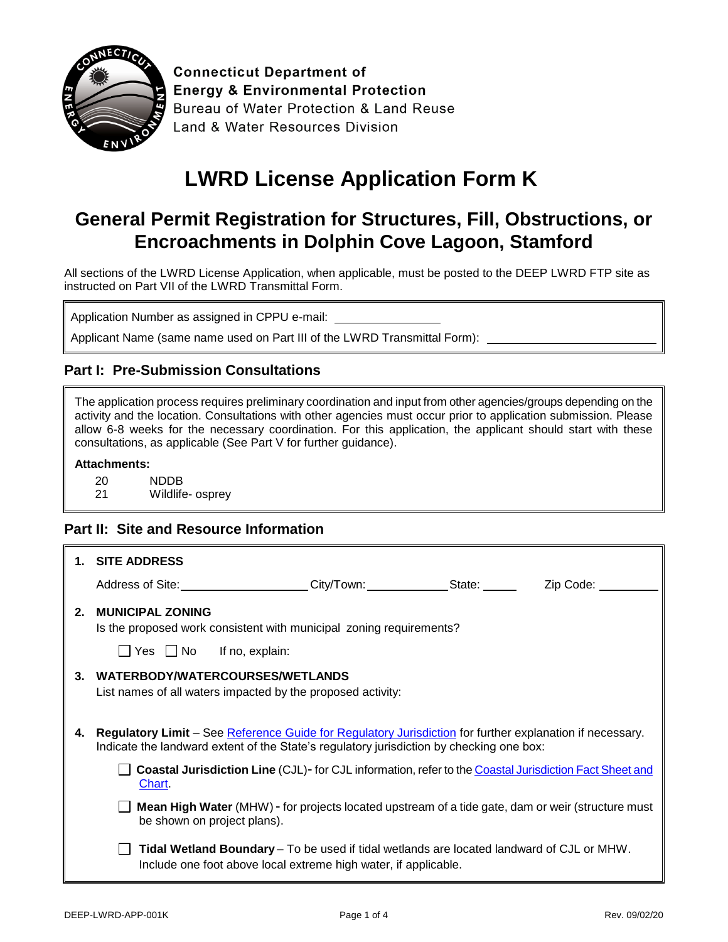

**Connecticut Department of Energy & Environmental Protection** Bureau of Water Protection & Land Reuse Land & Water Resources Division

# **LWRD License Application Form K**

## **General Permit Registration for Structures, Fill, Obstructions, or Encroachments in Dolphin Cove Lagoon, Stamford**

All sections of the LWRD License Application, when applicable, must be posted to the DEEP LWRD FTP site as instructed on Part VII of the LWRD Transmittal Form.

Application Number as assigned in CPPU e-mail:

Applicant Name (same name used on Part III of the LWRD Transmittal Form):

#### **Part I: Pre-Submission Consultations**

| The application process requires preliminary coordination and input from other agencies/groups depending on the<br>activity and the location. Consultations with other agencies must occur prior to application submission. Please<br>allow 6-8 weeks for the necessary coordination. For this application, the applicant should start with these<br>consultations, as applicable (See Part V for further guidance). |                                                                                                                                                                                                      |  |  |  |
|----------------------------------------------------------------------------------------------------------------------------------------------------------------------------------------------------------------------------------------------------------------------------------------------------------------------------------------------------------------------------------------------------------------------|------------------------------------------------------------------------------------------------------------------------------------------------------------------------------------------------------|--|--|--|
|                                                                                                                                                                                                                                                                                                                                                                                                                      | <b>Attachments:</b>                                                                                                                                                                                  |  |  |  |
|                                                                                                                                                                                                                                                                                                                                                                                                                      | 20<br><b>NDDB</b><br>21<br>Wildlife- osprey                                                                                                                                                          |  |  |  |
|                                                                                                                                                                                                                                                                                                                                                                                                                      | <b>Part II: Site and Resource Information</b>                                                                                                                                                        |  |  |  |
|                                                                                                                                                                                                                                                                                                                                                                                                                      | 1. SITE ADDRESS                                                                                                                                                                                      |  |  |  |
|                                                                                                                                                                                                                                                                                                                                                                                                                      | Address of Site: _____________________City/Town: ______________State: ___________Zip Code: ___                                                                                                       |  |  |  |
| $2_{-}$                                                                                                                                                                                                                                                                                                                                                                                                              | <b>MUNICIPAL ZONING</b>                                                                                                                                                                              |  |  |  |
|                                                                                                                                                                                                                                                                                                                                                                                                                      | Is the proposed work consistent with municipal zoning requirements?                                                                                                                                  |  |  |  |
|                                                                                                                                                                                                                                                                                                                                                                                                                      | $\Box$ Yes $\Box$ No If no, explain:                                                                                                                                                                 |  |  |  |
| 3.                                                                                                                                                                                                                                                                                                                                                                                                                   | WATERBODY/WATERCOURSES/WETLANDS<br>List names of all waters impacted by the proposed activity:                                                                                                       |  |  |  |
| 4.                                                                                                                                                                                                                                                                                                                                                                                                                   | Regulatory Limit - See Reference Guide for Regulatory Jurisdiction for further explanation if necessary.<br>Indicate the landward extent of the State's regulatory jurisdiction by checking one box: |  |  |  |
|                                                                                                                                                                                                                                                                                                                                                                                                                      | Coastal Jurisdiction Line (CJL)- for CJL information, refer to the Coastal Jurisdiction Fact Sheet and<br>Chart.                                                                                     |  |  |  |
|                                                                                                                                                                                                                                                                                                                                                                                                                      | Mean High Water (MHW) - for projects located upstream of a tide gate, dam or weir (structure must<br>be shown on project plans).                                                                     |  |  |  |
|                                                                                                                                                                                                                                                                                                                                                                                                                      | Tidal Wetland Boundary - To be used if tidal wetlands are located landward of CJL or MHW.<br>Include one foot above local extreme high water, if applicable.                                         |  |  |  |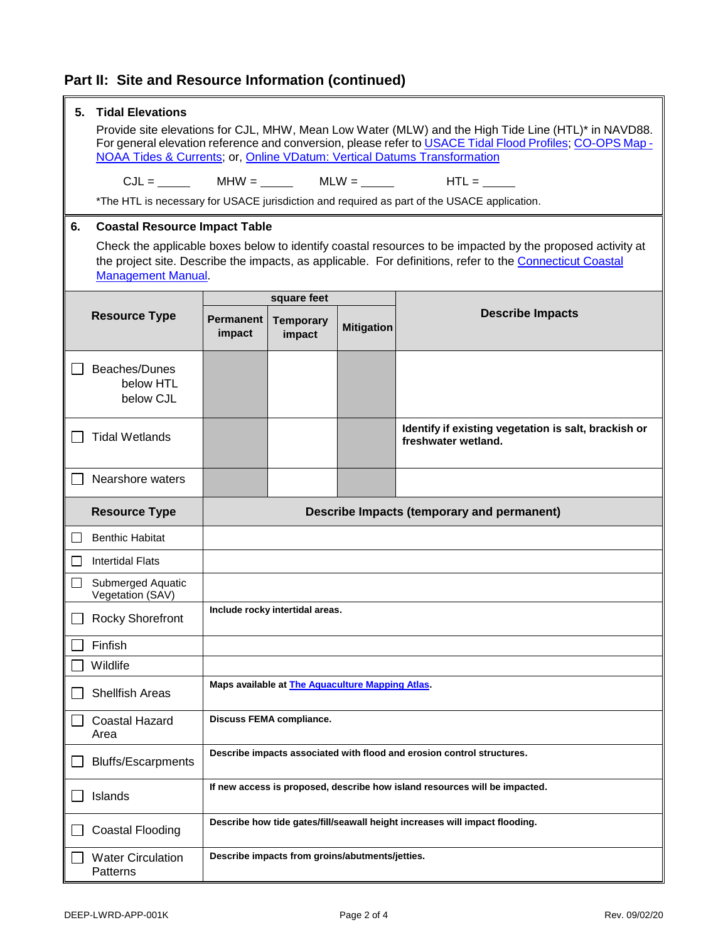## **Part II: Site and Resource Information (continued)**

|                | <b>Tidal Elevations</b><br>5.                                                                                                                                                                                                                                                               |                                            |                                                          |                   |                                                                                             |
|----------------|---------------------------------------------------------------------------------------------------------------------------------------------------------------------------------------------------------------------------------------------------------------------------------------------|--------------------------------------------|----------------------------------------------------------|-------------------|---------------------------------------------------------------------------------------------|
|                | Provide site elevations for CJL, MHW, Mean Low Water (MLW) and the High Tide Line (HTL)* in NAVD88.<br>For general elevation reference and conversion, please refer to USACE Tidal Flood Profiles; CO-OPS Map -<br>NOAA Tides & Currents; or, Online VDatum: Vertical Datums Transformation |                                            |                                                          |                   |                                                                                             |
|                |                                                                                                                                                                                                                                                                                             |                                            |                                                          |                   |                                                                                             |
|                |                                                                                                                                                                                                                                                                                             |                                            |                                                          |                   | *The HTL is necessary for USACE jurisdiction and required as part of the USACE application. |
| 6.             |                                                                                                                                                                                                                                                                                             | <b>Coastal Resource Impact Table</b>       |                                                          |                   |                                                                                             |
|                | Check the applicable boxes below to identify coastal resources to be impacted by the proposed activity at<br>the project site. Describe the impacts, as applicable. For definitions, refer to the Connecticut Coastal<br><b>Management Manual</b> .                                         |                                            |                                                          |                   |                                                                                             |
|                |                                                                                                                                                                                                                                                                                             |                                            | square feet                                              |                   |                                                                                             |
|                | <b>Resource Type</b>                                                                                                                                                                                                                                                                        | <b>Permanent</b><br>impact                 | <b>Temporary</b><br>impact                               | <b>Mitigation</b> | <b>Describe Impacts</b>                                                                     |
|                | Beaches/Dunes<br>below HTL<br>below CJL                                                                                                                                                                                                                                                     |                                            |                                                          |                   |                                                                                             |
|                | <b>Tidal Wetlands</b>                                                                                                                                                                                                                                                                       |                                            |                                                          |                   | Identify if existing vegetation is salt, brackish or<br>freshwater wetland.                 |
|                | Nearshore waters                                                                                                                                                                                                                                                                            |                                            |                                                          |                   |                                                                                             |
|                | <b>Resource Type</b>                                                                                                                                                                                                                                                                        | Describe Impacts (temporary and permanent) |                                                          |                   |                                                                                             |
|                | <b>Benthic Habitat</b>                                                                                                                                                                                                                                                                      |                                            |                                                          |                   |                                                                                             |
| $\blacksquare$ |                                                                                                                                                                                                                                                                                             |                                            |                                                          |                   |                                                                                             |
|                | <b>Intertidal Flats</b>                                                                                                                                                                                                                                                                     |                                            |                                                          |                   |                                                                                             |
|                | Submerged Aquatic<br>Vegetation (SAV)                                                                                                                                                                                                                                                       |                                            |                                                          |                   |                                                                                             |
|                | <b>Rocky Shorefront</b>                                                                                                                                                                                                                                                                     |                                            | Include rocky intertidal areas.                          |                   |                                                                                             |
|                | Finfish                                                                                                                                                                                                                                                                                     |                                            |                                                          |                   |                                                                                             |
|                | Wildlife                                                                                                                                                                                                                                                                                    |                                            |                                                          |                   |                                                                                             |
|                | <b>Shellfish Areas</b>                                                                                                                                                                                                                                                                      |                                            | Maps available at <b>The Aquaculture Mapping Atlas</b> . |                   |                                                                                             |
|                | <b>Coastal Hazard</b><br>Area                                                                                                                                                                                                                                                               |                                            | <b>Discuss FEMA compliance.</b>                          |                   |                                                                                             |
|                | <b>Bluffs/Escarpments</b>                                                                                                                                                                                                                                                                   |                                            |                                                          |                   | Describe impacts associated with flood and erosion control structures.                      |
|                | Islands                                                                                                                                                                                                                                                                                     |                                            |                                                          |                   | If new access is proposed, describe how island resources will be impacted.                  |
|                | Coastal Flooding                                                                                                                                                                                                                                                                            |                                            |                                                          |                   | Describe how tide gates/fill/seawall height increases will impact flooding.                 |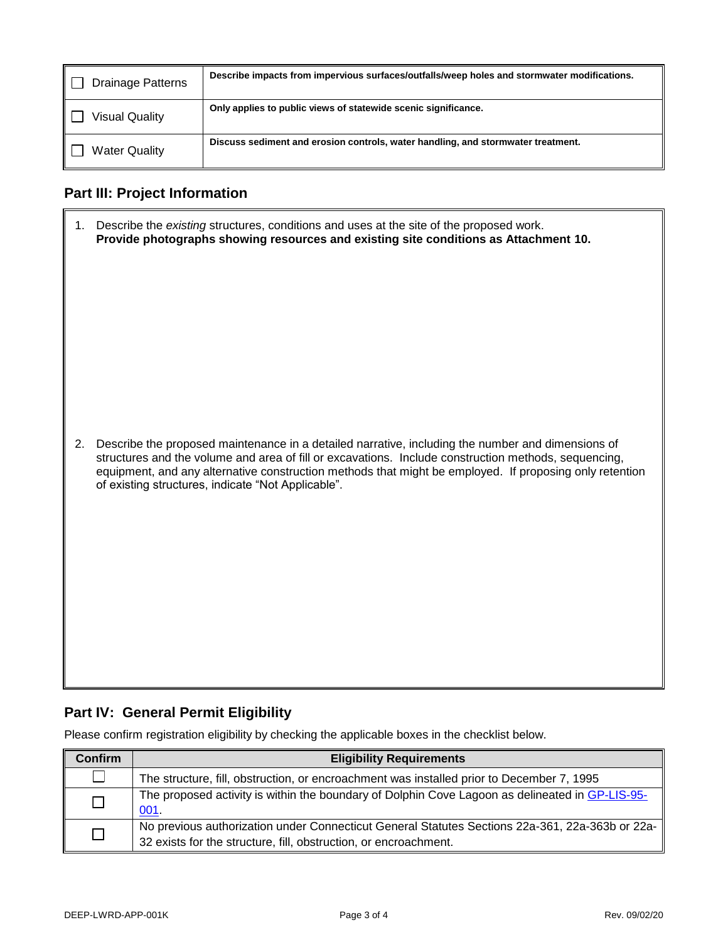| <b>Drainage Patterns</b> | Describe impacts from impervious surfaces/outfalls/weep holes and stormwater modifications. |
|--------------------------|---------------------------------------------------------------------------------------------|
| <b>Visual Quality</b>    | Only applies to public views of statewide scenic significance.                              |
| <b>Water Quality</b>     | Discuss sediment and erosion controls, water handling, and stormwater treatment.            |

## **Part III: Project Information**

| 1. | Describe the existing structures, conditions and uses at the site of the proposed work.<br>Provide photographs showing resources and existing site conditions as Attachment 10.                                                                                                                                                                                            |
|----|----------------------------------------------------------------------------------------------------------------------------------------------------------------------------------------------------------------------------------------------------------------------------------------------------------------------------------------------------------------------------|
| 2. | Describe the proposed maintenance in a detailed narrative, including the number and dimensions of<br>structures and the volume and area of fill or excavations. Include construction methods, sequencing,<br>equipment, and any alternative construction methods that might be employed. If proposing only retention<br>of existing structures, indicate "Not Applicable". |

### **Part IV: General Permit Eligibility**

Please confirm registration eligibility by checking the applicable boxes in the checklist below.

| <b>Confirm</b> | <b>Eligibility Requirements</b>                                                                                                                                     |
|----------------|---------------------------------------------------------------------------------------------------------------------------------------------------------------------|
|                | The structure, fill, obstruction, or encroachment was installed prior to December 7, 1995                                                                           |
|                | The proposed activity is within the boundary of Dolphin Cove Lagoon as delineated in GP-LIS-95-<br>001.                                                             |
|                | No previous authorization under Connecticut General Statutes Sections 22a-361, 22a-363b or 22a-<br>32 exists for the structure, fill, obstruction, or encroachment. |